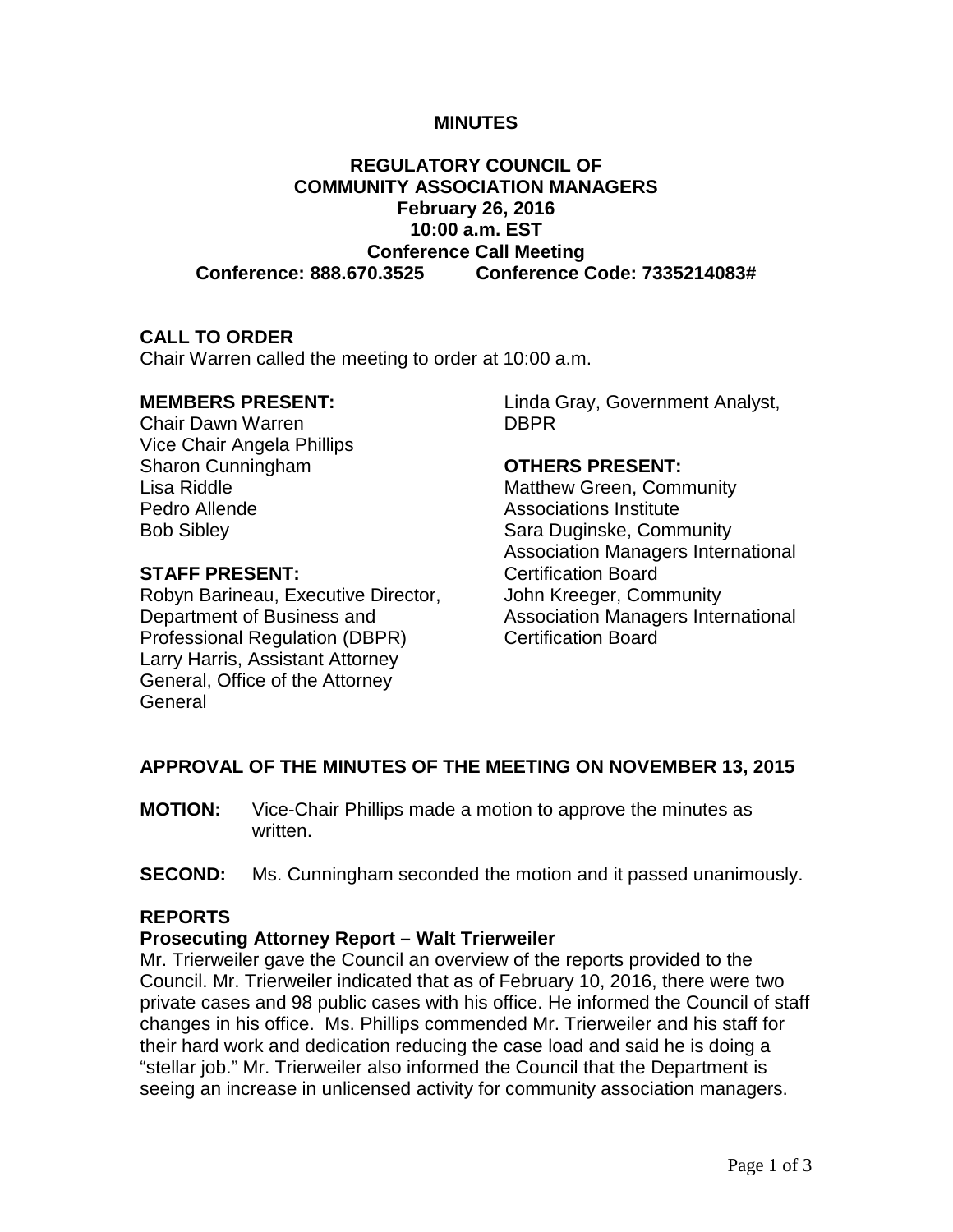### **MINUTES**

# **REGULATORY COUNCIL OF COMMUNITY ASSOCIATION MANAGERS February 26, 2016 10:00 a.m. EST Conference Call Meeting Conference: 888.670.3525 Conference Code: 7335214083#**

### **CALL TO ORDER**

Chair Warren called the meeting to order at 10:00 a.m.

### **MEMBERS PRESENT:**

Chair Dawn Warren Vice Chair Angela Phillips Sharon Cunningham Lisa Riddle Pedro Allende Bob Sibley

# **STAFF PRESENT:**

Robyn Barineau, Executive Director, Department of Business and Professional Regulation (DBPR) Larry Harris, Assistant Attorney General, Office of the Attorney **General** 

Linda Gray, Government Analyst, DBPR

#### **OTHERS PRESENT:**

Matthew Green, Community Associations Institute Sara Duginske, Community Association Managers International Certification Board John Kreeger, Community Association Managers International Certification Board

## **APPROVAL OF THE MINUTES OF THE MEETING ON NOVEMBER 13, 2015**

- **MOTION:** Vice-Chair Phillips made a motion to approve the minutes as written.
- **SECOND:** Ms. Cunningham seconded the motion and it passed unanimously.

## **REPORTS**

### **Prosecuting Attorney Report – Walt Trierweiler**

Mr. Trierweiler gave the Council an overview of the reports provided to the Council. Mr. Trierweiler indicated that as of February 10, 2016, there were two private cases and 98 public cases with his office. He informed the Council of staff changes in his office. Ms. Phillips commended Mr. Trierweiler and his staff for their hard work and dedication reducing the case load and said he is doing a "stellar job." Mr. Trierweiler also informed the Council that the Department is seeing an increase in unlicensed activity for community association managers.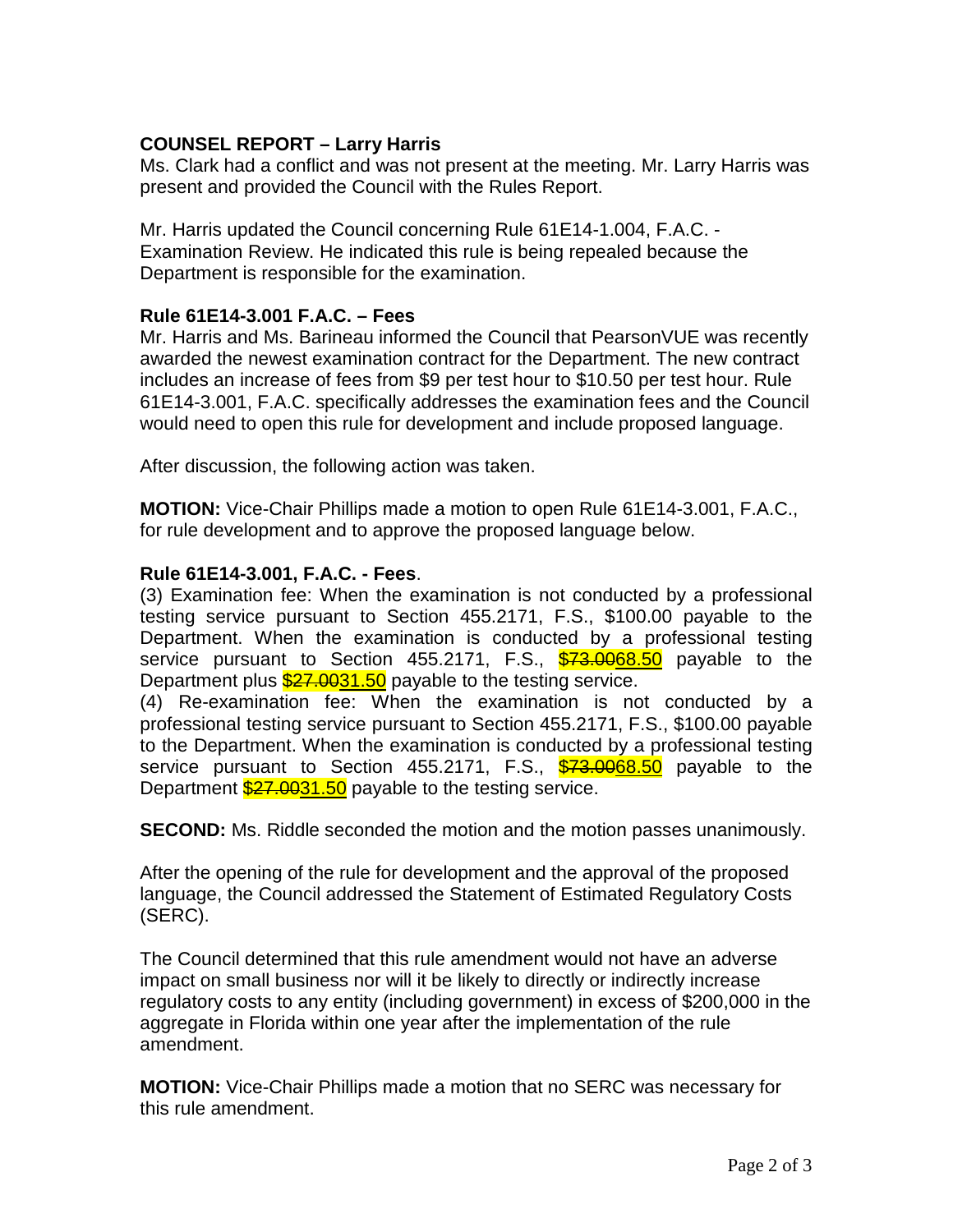# **COUNSEL REPORT – Larry Harris**

Ms. Clark had a conflict and was not present at the meeting. Mr. Larry Harris was present and provided the Council with the Rules Report.

Mr. Harris updated the Council concerning Rule 61E14-1.004, F.A.C. - Examination Review. He indicated this rule is being repealed because the Department is responsible for the examination.

# **Rule 61E14-3.001 F.A.C. – Fees**

Mr. Harris and Ms. Barineau informed the Council that PearsonVUE was recently awarded the newest examination contract for the Department. The new contract includes an increase of fees from \$9 per test hour to \$10.50 per test hour. Rule 61E14-3.001, F.A.C. specifically addresses the examination fees and the Council would need to open this rule for development and include proposed language.

After discussion, the following action was taken.

**MOTION:** Vice-Chair Phillips made a motion to open Rule 61E14-3.001, F.A.C., for rule development and to approve the proposed language below.

# **Rule 61E14-3.001, F.A.C. - Fees**.

(3) Examination fee: When the examination is not conducted by a professional testing service pursuant to Section 455.2171, F.S., \$100.00 payable to the Department. When the examination is conducted by a professional testing service pursuant to Section 455.2171, F.S., \$73.0068.50 payable to the Department plus  $\frac{$27.0031.50}{2}$  payable to the testing service.

(4) Re-examination fee: When the examination is not conducted by a professional testing service pursuant to Section 455.2171, F.S., \$100.00 payable to the Department. When the examination is conducted by a professional testing service pursuant to Section 455.2171, F.S., \$73.0068.50 payable to the Department  $\frac{$27.0031.50}{2}$  payable to the testing service.

**SECOND:** Ms. Riddle seconded the motion and the motion passes unanimously.

After the opening of the rule for development and the approval of the proposed language, the Council addressed the Statement of Estimated Regulatory Costs (SERC).

The Council determined that this rule amendment would not have an adverse impact on small business nor will it be likely to directly or indirectly increase regulatory costs to any entity (including government) in excess of \$200,000 in the aggregate in Florida within one year after the implementation of the rule amendment.

**MOTION:** Vice-Chair Phillips made a motion that no SERC was necessary for this rule amendment.